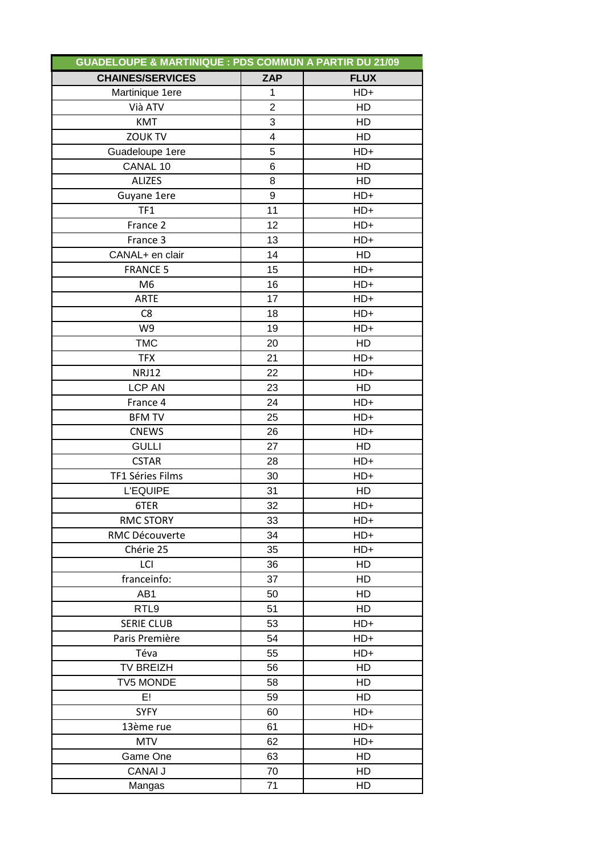|                         | <b>GUADELOUPE &amp; MARTINIQUE : PDS COMMUN A PARTIR DU 21/09</b> |             |  |  |  |
|-------------------------|-------------------------------------------------------------------|-------------|--|--|--|
| <b>CHAINES/SERVICES</b> | <b>ZAP</b>                                                        | <b>FLUX</b> |  |  |  |
| Martinique 1ere         | 1                                                                 | $HD+$       |  |  |  |
| Vià ATV                 | $\overline{2}$                                                    | HD          |  |  |  |
| <b>KMT</b>              | 3                                                                 | HD          |  |  |  |
| <b>ZOUK TV</b>          | 4                                                                 | HD          |  |  |  |
| Guadeloupe 1ere         | 5                                                                 | $HD+$       |  |  |  |
| CANAL 10                | 6                                                                 | HD          |  |  |  |
| <b>ALIZES</b>           | 8                                                                 | HD          |  |  |  |
| Guyane 1ere             | 9                                                                 | $HD+$       |  |  |  |
| TF1                     | 11                                                                | $HD+$       |  |  |  |
| France 2                | 12                                                                | $HD+$       |  |  |  |
| France 3                | 13                                                                | $HD+$       |  |  |  |
| CANAL+ en clair         | 14                                                                | HD          |  |  |  |
| <b>FRANCE 5</b>         | 15                                                                | $HD+$       |  |  |  |
| M <sub>6</sub>          | 16                                                                | HD+         |  |  |  |
| <b>ARTE</b>             | 17                                                                | $HD+$       |  |  |  |
| C <sub>8</sub>          | 18                                                                | $HD+$       |  |  |  |
| W9                      | 19                                                                | HD+         |  |  |  |
| <b>TMC</b>              | 20                                                                | HD          |  |  |  |
| <b>TFX</b>              | 21                                                                | HD+         |  |  |  |
| <b>NRJ12</b>            | 22                                                                | $HD+$       |  |  |  |
| <b>LCP AN</b>           | 23                                                                | <b>HD</b>   |  |  |  |
| France 4                | 24                                                                | $HD+$       |  |  |  |
| <b>BFM TV</b>           | 25                                                                | $HD+$       |  |  |  |
| <b>CNEWS</b>            | 26                                                                | $HD+$       |  |  |  |
| <b>GULLI</b>            | 27                                                                | HD          |  |  |  |
| <b>CSTAR</b>            | 28                                                                | $HD+$       |  |  |  |
| TF1 Séries Films        | 30                                                                | HD+         |  |  |  |
| <b>L'EQUIPE</b>         | 31                                                                | HD          |  |  |  |
| 6TER                    | 32                                                                | HD+         |  |  |  |
| <b>RMC STORY</b>        | 33                                                                | HD+         |  |  |  |
| RMC Découverte          | 34                                                                | HD+         |  |  |  |
| Chérie 25               | 35                                                                | HD+         |  |  |  |
| LCI                     | 36                                                                | HD          |  |  |  |
| franceinfo:             | 37                                                                | HD          |  |  |  |
| AB <sub>1</sub>         | 50                                                                | HD          |  |  |  |
| RTL9                    | 51                                                                | HD          |  |  |  |
| <b>SERIE CLUB</b>       | 53                                                                | $HD+$       |  |  |  |
| Paris Première          | 54                                                                | $HD+$       |  |  |  |
| Téva                    | 55                                                                | HD+         |  |  |  |
| <b>TV BREIZH</b>        | 56                                                                | HD          |  |  |  |
| <b>TV5 MONDE</b>        | 58                                                                | HD          |  |  |  |
| E!                      | 59                                                                | HD          |  |  |  |
| <b>SYFY</b>             | 60                                                                | HD+         |  |  |  |
| 13ème rue               | 61                                                                | $HD+$       |  |  |  |
| <b>MTV</b>              | 62                                                                | HD+         |  |  |  |
| Game One                | 63                                                                | HD          |  |  |  |
| <b>CANAI J</b>          | 70                                                                | HD          |  |  |  |
| Mangas                  | 71                                                                | HD          |  |  |  |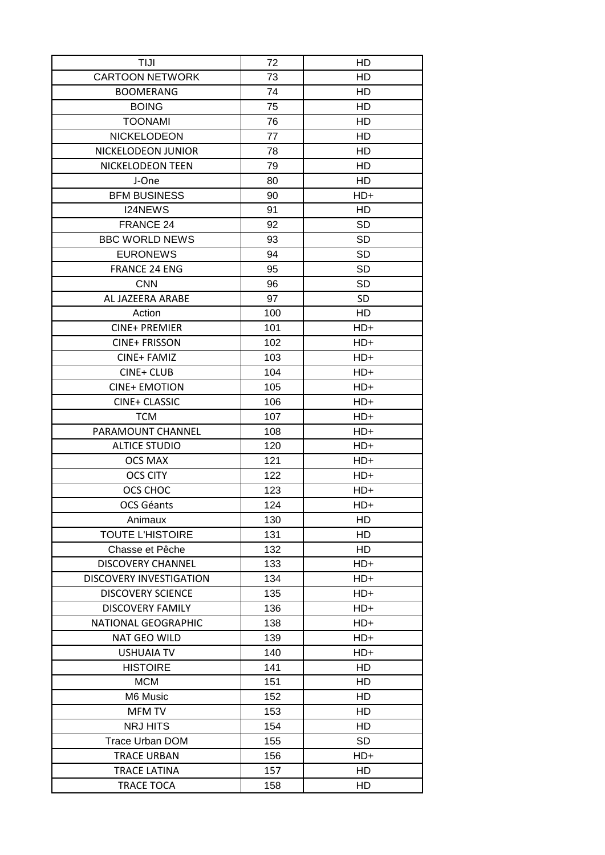| TIJI                           | 72  | HD        |
|--------------------------------|-----|-----------|
| <b>CARTOON NETWORK</b>         | 73  | HD        |
| <b>BOOMERANG</b>               | 74  | HD        |
| <b>BOING</b>                   | 75  | <b>HD</b> |
| <b>TOONAMI</b>                 | 76  | HD        |
| <b>NICKELODEON</b>             | 77  | HD        |
| NICKELODEON JUNIOR             | 78  | HD        |
| NICKELODEON TEEN               | 79  | HD        |
| J-One                          | 80  | HD        |
| <b>BFM BUSINESS</b>            | 90  | $HD+$     |
| I24NEWS                        | 91  | HD        |
| FRANCE 24                      | 92  | <b>SD</b> |
| <b>BBC WORLD NEWS</b>          | 93  | <b>SD</b> |
| <b>EURONEWS</b>                | 94  | <b>SD</b> |
| <b>FRANCE 24 ENG</b>           | 95  | <b>SD</b> |
| <b>CNN</b>                     | 96  | <b>SD</b> |
| AL JAZEERA ARABE               | 97  | SD        |
| Action                         | 100 | HD        |
| <b>CINE+ PREMIER</b>           | 101 | HD+       |
|                                |     |           |
| <b>CINE+ FRISSON</b>           | 102 | HD+       |
| CINE+ FAMIZ                    | 103 | HD+       |
| <b>CINE+ CLUB</b>              | 104 | $HD+$     |
| <b>CINE+ EMOTION</b>           | 105 | HD+       |
| <b>CINE+ CLASSIC</b>           | 106 | HD+       |
| <b>TCM</b>                     | 107 | HD+       |
| PARAMOUNT CHANNEL              | 108 | $HD+$     |
| <b>ALTICE STUDIO</b>           | 120 | HD+       |
| <b>OCS MAX</b>                 | 121 | HD+       |
| <b>OCS CITY</b>                | 122 | $HD+$     |
| OCS CHOC                       | 123 | $HD+$     |
| <b>OCS Géants</b>              | 124 | HD+       |
| Animaux                        | 130 | HD        |
| <b>TOUTE L'HISTOIRE</b>        | 131 | HD        |
| Chasse et Pêche                | 132 | HD        |
| <b>DISCOVERY CHANNEL</b>       | 133 | $HD+$     |
| <b>DISCOVERY INVESTIGATION</b> | 134 | HD+       |
| <b>DISCOVERY SCIENCE</b>       | 135 | HD+       |
| DISCOVERY FAMILY               | 136 | $HD+$     |
| NATIONAL GEOGRAPHIC            | 138 | $HD+$     |
| NAT GEO WILD                   | 139 | HD+       |
| USHUAIA TV                     | 140 | HD+       |
| <b>HISTOIRE</b>                | 141 | HD        |
| <b>MCM</b>                     | 151 | HD        |
| M6 Music                       | 152 | HD        |
| MFM TV                         | 153 | HD.       |
| <b>NRJ HITS</b>                | 154 | HD        |
| <b>Trace Urban DOM</b>         | 155 | <b>SD</b> |
| <b>TRACE URBAN</b>             | 156 | HD+       |
| <b>TRACE LATINA</b>            | 157 | HD        |
| <b>TRACE TOCA</b>              | 158 | HD        |
|                                |     |           |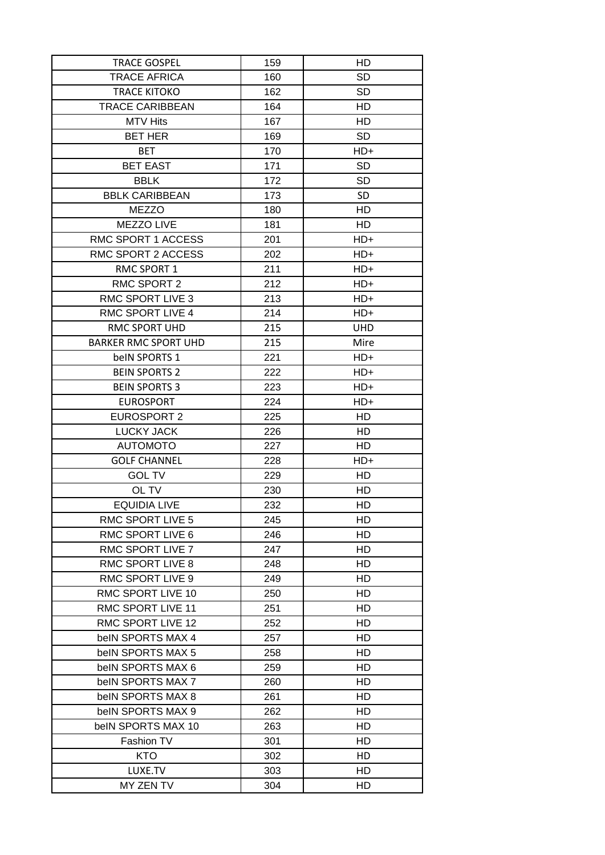| <b>TRACE GOSPEL</b>         | 159 | HD         |
|-----------------------------|-----|------------|
| <b>TRACE AFRICA</b>         | 160 | <b>SD</b>  |
| <b>TRACE KITOKO</b>         | 162 | <b>SD</b>  |
| <b>TRACE CARIBBEAN</b>      | 164 | HD         |
| <b>MTV Hits</b>             | 167 | HD         |
| <b>BET HER</b>              | 169 | <b>SD</b>  |
| <b>BET</b>                  | 170 | HD+        |
| <b>BET EAST</b>             | 171 | <b>SD</b>  |
| <b>BBLK</b>                 | 172 | <b>SD</b>  |
| <b>BBLK CARIBBEAN</b>       | 173 | <b>SD</b>  |
| <b>MEZZO</b>                | 180 | HD         |
| MEZZO LIVE                  | 181 | HD.        |
| RMC SPORT 1 ACCESS          | 201 | HD+        |
| RMC SPORT 2 ACCESS          | 202 | HD+        |
| RMC SPORT 1                 | 211 | $HD+$      |
| RMC SPORT 2                 | 212 | $HD+$      |
| RMC SPORT LIVE 3            | 213 | $HD+$      |
| <b>RMC SPORT LIVE 4</b>     | 214 | $HD+$      |
| <b>RMC SPORT UHD</b>        | 215 | <b>UHD</b> |
| <b>BARKER RMC SPORT UHD</b> | 215 | Mire       |
| belN SPORTS 1               | 221 | HD+        |
| <b>BEIN SPORTS 2</b>        | 222 | HD+        |
| <b>BEIN SPORTS 3</b>        | 223 | HD+        |
| <b>EUROSPORT</b>            | 224 | $HD+$      |
| EUROSPORT 2                 | 225 | HD.        |
| LUCKY JACK                  | 226 | HD         |
| <b>AUTOMOTO</b>             | 227 | HD         |
| <b>GOLF CHANNEL</b>         | 228 | $HD+$      |
| <b>GOL TV</b>               | 229 | HD         |
| OL TV                       | 230 | HD         |
| <b>EQUIDIA LIVE</b>         | 232 | <b>HD</b>  |
| <b>RMC SPORT LIVE 5</b>     | 245 | HD         |
| RMC SPORT LIVE 6            | 246 | HD         |
| RMC SPORT LIVE 7            | 247 | HD.        |
| RMC SPORT LIVE 8            | 248 | HD         |
| RMC SPORT LIVE 9            | 249 | HD.        |
| RMC SPORT LIVE 10           | 250 | HD.        |
| RMC SPORT LIVE 11           | 251 | HD         |
| RMC SPORT LIVE 12           | 252 | HD         |
| belN SPORTS MAX 4           | 257 | HD         |
| belN SPORTS MAX 5           | 258 | HD         |
| beIN SPORTS MAX 6           | 259 | HD         |
| belN SPORTS MAX 7           | 260 | HD.        |
| belN SPORTS MAX 8           | 261 | HD.        |
| belN SPORTS MAX 9           | 262 | HD         |
| beIN SPORTS MAX 10          | 263 | HD         |
| Fashion TV                  | 301 | HD         |
| <b>KTO</b>                  | 302 | HD         |
| LUXE.TV                     | 303 | HD.        |
| MY ZEN TV                   | 304 | HD.        |